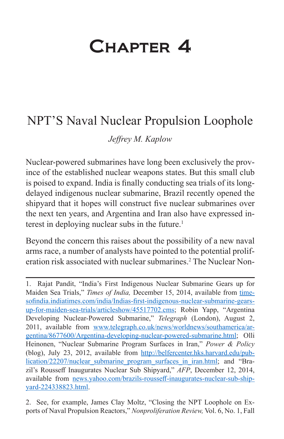# Chapter 4

# NPT'S Naval Nuclear Propulsion Loophole

*Jeffrey M. Kaplow*

Nuclear-powered submarines have long been exclusively the province of the established nuclear weapons states. But this small club is poised to expand. India is finally conducting sea trials of its longdelayed indigenous nuclear submarine, Brazil recently opened the shipyard that it hopes will construct five nuclear submarines over the next ten years, and Argentina and Iran also have expressed interest in deploying nuclear subs in the future.<sup>1</sup>

Beyond the concern this raises about the possibility of a new naval arms race, a number of analysts have pointed to the potential proliferation risk associated with nuclear submarines.<sup>2</sup> The Nuclear Non-

<sup>1.</sup> Rajat Pandit, "India's First Indigenous Nuclear Submarine Gears up for Maiden Sea Trials," *Times of India,* December 15, 2014, available from [time](timesofindia.indiatimes.com/india/Indias-first-indigenous-nuclear-submarine-gears-up-for-maiden-sea-trials/articleshow/45517702.cms)[sofindia.indiatimes.com/india/Indias-first-indigenous-nuclear-submarine-gears](timesofindia.indiatimes.com/india/Indias-first-indigenous-nuclear-submarine-gears-up-for-maiden-sea-trials/articleshow/45517702.cms)[up-for-maiden-sea-trials/articleshow/45517702.cms](timesofindia.indiatimes.com/india/Indias-first-indigenous-nuclear-submarine-gears-up-for-maiden-sea-trials/articleshow/45517702.cms); Robin Yapp, "Argentina Developing Nuclear-Powered Submarine," *Telegraph* (London), August 2, 2011, available from [www.telegraph.co.uk/news/worldnews/southamerica/ar](www.telegraph.co.uk/news/worldnews/southamerica/argentina/8677600/Argentina-developing-nuclear-powered-submarine.html)[gentina/8677600/Argentina-developing-nuclear-powered-submarine.html;](www.telegraph.co.uk/news/worldnews/southamerica/argentina/8677600/Argentina-developing-nuclear-powered-submarine.html) Olli Heinonen, "Nuclear Submarine Program Surfaces in Iran," *Power & Policy* (blog), July 23, 2012, available from [http://belfercenter.hks.harvard.edu/pub](http://belfercenter.hks.harvard.edu/publication/22207/nuclear_submarine_program_surfaces_in_iran.html)lication/22207/nuclear submarine program surfaces in iran.html; and "Brazil's Rousseff Inaugurates Nuclear Sub Shipyard," *AFP*, December 12, 2014, available from [news.yahoo.com/brazils-rousseff-inaugurates-nuclear-sub-ship](news.yahoo.com/brazils-rousseff-inaugurates-nuclear-sub-shipyard-224338823.html)[yard-224338823.html.](news.yahoo.com/brazils-rousseff-inaugurates-nuclear-sub-shipyard-224338823.html)

<sup>2.</sup> See, for example, James Clay Moltz, "Closing the NPT Loophole on Exports of Naval Propulsion Reactors," *Nonproliferation Review,* Vol. 6, No. 1, Fall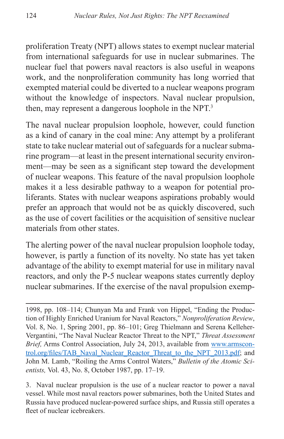proliferation Treaty (NPT) allows states to exempt nuclear material from international safeguards for use in nuclear submarines. The nuclear fuel that powers naval reactors is also useful in weapons work, and the nonproliferation community has long worried that exempted material could be diverted to a nuclear weapons program without the knowledge of inspectors. Naval nuclear propulsion, then, may represent a dangerous loophole in the NPT.<sup>3</sup>

The naval nuclear propulsion loophole, however, could function as a kind of canary in the coal mine: Any attempt by a proliferant state to take nuclear material out of safeguards for a nuclear submarine program—at least in the present international security environment—may be seen as a significant step toward the development of nuclear weapons. This feature of the naval propulsion loophole makes it a less desirable pathway to a weapon for potential proliferants. States with nuclear weapons aspirations probably would prefer an approach that would not be as quickly discovered, such as the use of covert facilities or the acquisition of sensitive nuclear materials from other states.

The alerting power of the naval nuclear propulsion loophole today, however, is partly a function of its novelty. No state has yet taken advantage of the ability to exempt material for use in military naval reactors, and only the P-5 nuclear weapons states currently deploy nuclear submarines. If the exercise of the naval propulsion exemp-

1998, pp. 108–114; Chunyan Ma and Frank von Hippel, "Ending the Production of Highly Enriched Uranium for Naval Reactors," *Nonproliferation Review*, Vol. 8, No. 1, Spring 2001, pp. 86–101; Greg Thielmann and Serena Kelleher-Vergantini, "The Naval Nuclear Reactor Threat to the NPT," *Threat Assessment Brief,* Arms Control Association, July 24, 2013, available from [www.armscon](www.armscontrol.org/files/TAB_Naval_Nuclear_Reactor_Threat_to_the_NPT_2013.pdf)[trol.org/files/TAB\\_Naval\\_Nuclear\\_Reactor\\_Threat\\_to\\_the\\_NPT\\_2013.pdf](www.armscontrol.org/files/TAB_Naval_Nuclear_Reactor_Threat_to_the_NPT_2013.pdf); and John M. Lamb, "Roiling the Arms Control Waters," *Bulletin of the Atomic Scientists,* Vol. 43, No. 8, October 1987, pp. 17–19.

3. Naval nuclear propulsion is the use of a nuclear reactor to power a naval vessel. While most naval reactors power submarines, both the United States and Russia have produced nuclear-powered surface ships, and Russia still operates a fleet of nuclear icebreakers.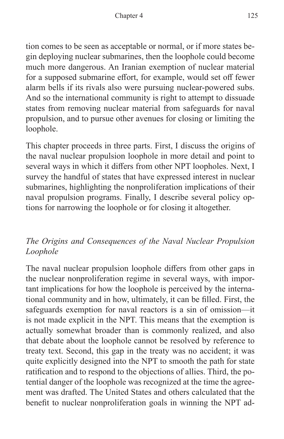tion comes to be seen as acceptable or normal, or if more states begin deploying nuclear submarines, then the loophole could become much more dangerous. An Iranian exemption of nuclear material for a supposed submarine effort, for example, would set off fewer alarm bells if its rivals also were pursuing nuclear-powered subs. And so the international community is right to attempt to dissuade states from removing nuclear material from safeguards for naval propulsion, and to pursue other avenues for closing or limiting the loophole.

This chapter proceeds in three parts. First, I discuss the origins of the naval nuclear propulsion loophole in more detail and point to several ways in which it differs from other NPT loopholes. Next, I survey the handful of states that have expressed interest in nuclear submarines, highlighting the nonproliferation implications of their naval propulsion programs. Finally, I describe several policy options for narrowing the loophole or for closing it altogether.

### *The Origins and Consequences of the Naval Nuclear Propulsion Loophole*

The naval nuclear propulsion loophole differs from other gaps in the nuclear nonproliferation regime in several ways, with important implications for how the loophole is perceived by the international community and in how, ultimately, it can be filled. First, the safeguards exemption for naval reactors is a sin of omission—it is not made explicit in the NPT. This means that the exemption is actually somewhat broader than is commonly realized, and also that debate about the loophole cannot be resolved by reference to treaty text. Second, this gap in the treaty was no accident; it was quite explicitly designed into the NPT to smooth the path for state ratification and to respond to the objections of allies. Third, the potential danger of the loophole was recognized at the time the agreement was drafted. The United States and others calculated that the benefit to nuclear nonproliferation goals in winning the NPT ad-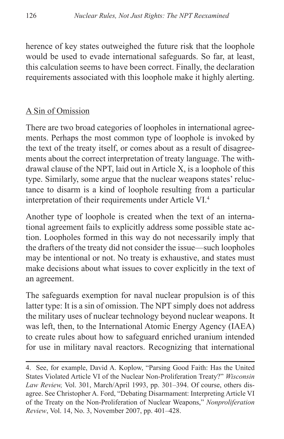herence of key states outweighed the future risk that the loophole would be used to evade international safeguards. So far, at least, this calculation seems to have been correct. Finally, the declaration requirements associated with this loophole make it highly alerting.

#### A Sin of Omission

There are two broad categories of loopholes in international agreements. Perhaps the most common type of loophole is invoked by the text of the treaty itself, or comes about as a result of disagreements about the correct interpretation of treaty language. The withdrawal clause of the NPT, laid out in Article X, is a loophole of this type. Similarly, some argue that the nuclear weapons states' reluctance to disarm is a kind of loophole resulting from a particular interpretation of their requirements under Article VI.4

Another type of loophole is created when the text of an international agreement fails to explicitly address some possible state action. Loopholes formed in this way do not necessarily imply that the drafters of the treaty did not consider the issue—such loopholes may be intentional or not. No treaty is exhaustive, and states must make decisions about what issues to cover explicitly in the text of an agreement.

The safeguards exemption for naval nuclear propulsion is of this latter type: It is a sin of omission. The NPT simply does not address the military uses of nuclear technology beyond nuclear weapons. It was left, then, to the International Atomic Energy Agency (IAEA) to create rules about how to safeguard enriched uranium intended for use in military naval reactors. Recognizing that international

<sup>4.</sup> See, for example, David A. Koplow, "Parsing Good Faith: Has the United States Violated Article VI of the Nuclear Non-Proliferation Treaty?" *Wisconsin Law Review,* Vol. 301, March/April 1993, pp. 301–394. Of course, others disagree. See Christopher A. Ford, "Debating Disarmament: Interpreting Article VI of the Treaty on the Non-Proliferation of Nuclear Weapons," *Nonproliferation Review*, Vol. 14, No. 3, November 2007, pp. 401–428.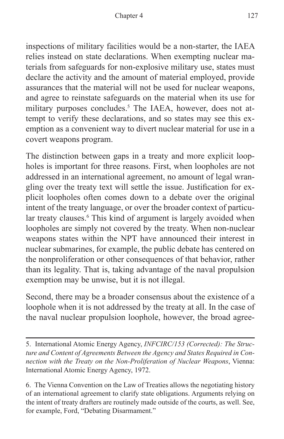inspections of military facilities would be a non-starter, the IAEA relies instead on state declarations. When exempting nuclear materials from safeguards for non-explosive military use, states must declare the activity and the amount of material employed, provide assurances that the material will not be used for nuclear weapons, and agree to reinstate safeguards on the material when its use for military purposes concludes.<sup>5</sup> The IAEA, however, does not attempt to verify these declarations, and so states may see this exemption as a convenient way to divert nuclear material for use in a covert weapons program.

The distinction between gaps in a treaty and more explicit loopholes is important for three reasons. First, when loopholes are not addressed in an international agreement, no amount of legal wrangling over the treaty text will settle the issue. Justification for explicit loopholes often comes down to a debate over the original intent of the treaty language, or over the broader context of particular treaty clauses.<sup>6</sup> This kind of argument is largely avoided when loopholes are simply not covered by the treaty. When non-nuclear weapons states within the NPT have announced their interest in nuclear submarines, for example, the public debate has centered on the nonproliferation or other consequences of that behavior, rather than its legality. That is, taking advantage of the naval propulsion exemption may be unwise, but it is not illegal.

Second, there may be a broader consensus about the existence of a loophole when it is not addressed by the treaty at all. In the case of the naval nuclear propulsion loophole, however, the broad agree-

<sup>5.</sup> International Atomic Energy Agency, *INFCIRC/153 (Corrected): The Structure and Content of Agreements Between the Agency and States Required in Connection with the Treaty on the Non-Proliferation of Nuclear Weapons*, Vienna: International Atomic Energy Agency, 1972.

<sup>6.</sup> The Vienna Convention on the Law of Treaties allows the negotiating history of an international agreement to clarify state obligations. Arguments relying on the intent of treaty drafters are routinely made outside of the courts, as well. See, for example, Ford, "Debating Disarmament."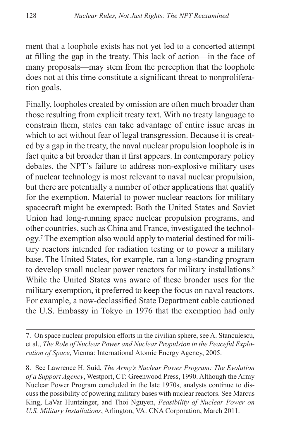ment that a loophole exists has not yet led to a concerted attempt at filling the gap in the treaty. This lack of action—in the face of many proposals—may stem from the perception that the loophole does not at this time constitute a significant threat to nonproliferation goals.

Finally, loopholes created by omission are often much broader than those resulting from explicit treaty text. With no treaty language to constrain them, states can take advantage of entire issue areas in which to act without fear of legal transgression. Because it is created by a gap in the treaty, the naval nuclear propulsion loophole is in fact quite a bit broader than it first appears. In contemporary policy debates, the NPT's failure to address non-explosive military uses of nuclear technology is most relevant to naval nuclear propulsion, but there are potentially a number of other applications that qualify for the exemption. Material to power nuclear reactors for military spacecraft might be exempted: Both the United States and Soviet Union had long-running space nuclear propulsion programs, and other countries, such as China and France, investigated the technology.7 The exemption also would apply to material destined for military reactors intended for radiation testing or to power a military base. The United States, for example, ran a long-standing program to develop small nuclear power reactors for military installations.<sup>8</sup> While the United States was aware of these broader uses for the military exemption, it preferred to keep the focus on naval reactors. For example, a now-declassified State Department cable cautioned the U.S. Embassy in Tokyo in 1976 that the exemption had only

<sup>7.</sup> On space nuclear propulsion efforts in the civilian sphere, see A. Stanculescu, et al., *The Role of Nuclear Power and Nuclear Propulsion in the Peaceful Exploration of Space*, Vienna: International Atomic Energy Agency, 2005.

<sup>8.</sup> See Lawrence H. Suid, *The Army's Nuclear Power Program: The Evolution of a Support Agency*, Westport, CT: Greenwood Press, 1990. Although the Army Nuclear Power Program concluded in the late 1970s, analysts continue to discuss the possibility of powering military bases with nuclear reactors. See Marcus King, LaVar Huntzinger, and Thoi Nguyen, *Feasibility of Nuclear Power on U.S. Military Installations*, Arlington, VA: CNA Corporation, March 2011.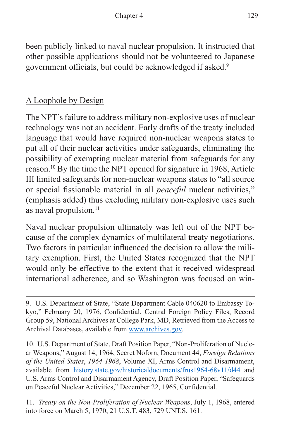been publicly linked to naval nuclear propulsion. It instructed that other possible applications should not be volunteered to Japanese government officials, but could be acknowledged if asked.<sup>9</sup>

# A Loophole by Design

The NPT's failure to address military non-explosive uses of nuclear technology was not an accident. Early drafts of the treaty included language that would have required non-nuclear weapons states to put all of their nuclear activities under safeguards, eliminating the possibility of exempting nuclear material from safeguards for any reason.10 By the time the NPT opened for signature in 1968, Article III limited safeguards for non-nuclear weapons states to "all source or special fissionable material in all *peaceful* nuclear activities," (emphasis added) thus excluding military non-explosive uses such as naval propulsion.<sup>11</sup>

Naval nuclear propulsion ultimately was left out of the NPT because of the complex dynamics of multilateral treaty negotiations. Two factors in particular influenced the decision to allow the military exemption. First, the United States recognized that the NPT would only be effective to the extent that it received widespread international adherence, and so Washington was focused on win-

10. U.S. Department of State, Draft Position Paper, "Non-Proliferation of Nuclear Weapons," August 14, 1964, Secret Noforn, Document 44, *Foreign Relations of the United States*, *1964-1968*, Volume XI, Arms Control and Disarmament, available from <history.state.gov/historicaldocuments/frus1964-68v11/d44> and U.S. Arms Control and Disarmament Agency, Draft Position Paper, "Safeguards on Peaceful Nuclear Activities," December 22, 1965, Confidential.

11. *Treaty on the Non-Proliferation of Nuclear Weapons*, July 1, 1968, entered into force on March 5, 1970, 21 U.S.T. 483, 729 UNT.S. 161.

<sup>9.</sup> U.S. Department of State, "State Department Cable 040620 to Embassy Tokyo," February 20, 1976, Confidential, Central Foreign Policy Files, Record Group 59, National Archives at College Park, MD, Retrieved from the Access to Archival Databases, available from <www.archives.gov>.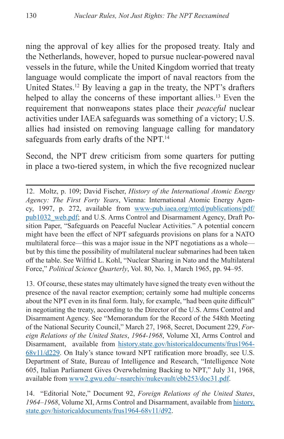ning the approval of key allies for the proposed treaty. Italy and the Netherlands, however, hoped to pursue nuclear-powered naval vessels in the future, while the United Kingdom worried that treaty language would complicate the import of naval reactors from the United States.<sup>12</sup> By leaving a gap in the treaty, the NPT's drafters helped to allay the concerns of these important allies.<sup>13</sup> Even the requirement that nonweapons states place their *peaceful* nuclear activities under IAEA safeguards was something of a victory; U.S. allies had insisted on removing language calling for mandatory safeguards from early drafts of the NPT.<sup>14</sup>

Second, the NPT drew criticism from some quarters for putting in place a two-tiered system, in which the five recognized nuclear

13. Of course, these states may ultimately have signed the treaty even without the presence of the naval reactor exemption; certainly some had multiple concerns about the NPT even in its final form. Italy, for example, "had been quite difficult" in negotiating the treaty, according to the Director of the U.S. Arms Control and Disarmament Agency. See "Memorandum for the Record of the 548th Meeting of the National Security Council," March 27, 1968, Secret, Document 229, *Foreign Relations of the United States*, *1964-1968*, Volume XI, Arms Control and Disarmament, available from [history.state.gov/historicaldocuments/frus1964-](history.state.gov/historicaldocuments/frus1964-68v11/d229) [68v11/d229](history.state.gov/historicaldocuments/frus1964-68v11/d229). On Italy's stance toward NPT ratification more broadly, see U.S. Department of State, Bureau of Intelligence and Research, "Intelligence Note 605, Italian Parliament Gives Overwhelming Backing to NPT," July 31, 1968, available from <www2.gwu.edu/~nsarchiv/nukevault/ebb253/doc31.pdf>.

14. "Editorial Note," Document 92, *Foreign Relations of the United States*, *1964–1968*, Volume XI, Arms Control and Disarmament, available from [history.](history.state.gov/historicaldocuments/frus1964-68v11/d92) [state.gov/historicaldocuments/frus1964-68v11/d92](history.state.gov/historicaldocuments/frus1964-68v11/d92).

<sup>12.</sup> Moltz, p. 109; David Fischer, *History of the International Atomic Energy Agency: The First Forty Years*, Vienna: International Atomic Energy Agency, 1997, p. 272, available from [www-pub.iaea.org/mtcd/publications/pdf/](http://www-pub.iaea.org/mtcd/publications/pdf/pub1032_web.pdf) [pub1032\\_web.pdf](http://www-pub.iaea.org/mtcd/publications/pdf/pub1032_web.pdf); and U.S. Arms Control and Disarmament Agency, Draft Position Paper, "Safeguards on Peaceful Nuclear Activities." A potential concern might have been the effect of NPT safeguards provisions on plans for a NATO multilateral force—this was a major issue in the NPT negotiations as a whole but by this time the possibility of multilateral nuclear submarines had been taken off the table. See Wilfrid L. Kohl, "Nuclear Sharing in Nato and the Multilateral Force," *Political Science Quarterly*, Vol. 80, No. 1, March 1965, pp. 94–95.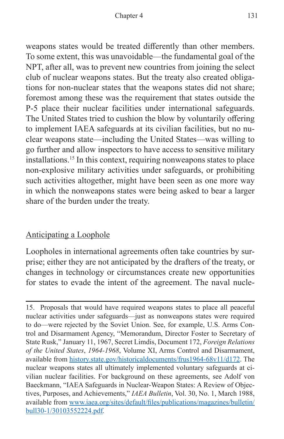weapons states would be treated differently than other members. To some extent, this was unavoidable—the fundamental goal of the NPT, after all, was to prevent new countries from joining the select club of nuclear weapons states. But the treaty also created obligations for non-nuclear states that the weapons states did not share; foremost among these was the requirement that states outside the P-5 place their nuclear facilities under international safeguards. The United States tried to cushion the blow by voluntarily offering to implement IAEA safeguards at its civilian facilities, but no nuclear weapons state—including the United States—was willing to go further and allow inspectors to have access to sensitive military installations.15 In this context, requiring nonweapons states to place non-explosive military activities under safeguards, or prohibiting such activities altogether, might have been seen as one more way in which the nonweapons states were being asked to bear a larger share of the burden under the treaty.

#### Anticipating a Loophole

Loopholes in international agreements often take countries by surprise; either they are not anticipated by the drafters of the treaty, or changes in technology or circumstances create new opportunities for states to evade the intent of the agreement. The naval nucle-

15. Proposals that would have required weapons states to place all peaceful nuclear activities under safeguards—just as nonweapons states were required to do—were rejected by the Soviet Union. See, for example, U.S. Arms Control and Disarmament Agency, "Memorandum, Director Foster to Secretary of State Rusk," January 11, 1967, Secret Limdis, Document 172, *Foreign Relations of the United States*, *1964-1968*, Volume XI, Arms Control and Disarmament, available from [history.state.gov/historicaldocuments/frus1964-68v11/d172.](history.state.gov/historicaldocuments/frus1964-68v11/d172) The nuclear weapons states all ultimately implemented voluntary safeguards at civilian nuclear facilities. For background on these agreements, see Adolf von Baeckmann, "IAEA Safeguards in Nuclear-Weapon States: A Review of Objectives, Purposes, and Achievements," *IAEA Bulletin*, Vol. 30, No. 1, March 1988, available from [www.iaea.org/sites/default/files/publications/magazines/bulletin/](www.iaea.org/sites/default/files/publications/magazines/bulletin/bull30-1/30103552224.pdf) [bull30-1/30103552224.pdf](www.iaea.org/sites/default/files/publications/magazines/bulletin/bull30-1/30103552224.pdf)*.*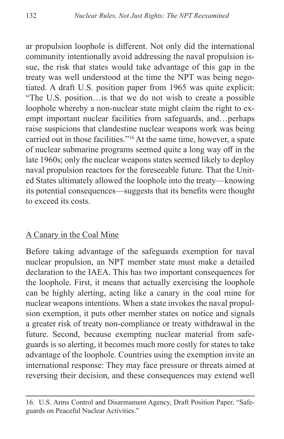ar propulsion loophole is different. Not only did the international community intentionally avoid addressing the naval propulsion issue, the risk that states would take advantage of this gap in the treaty was well understood at the time the NPT was being negotiated. A draft U.S. position paper from 1965 was quite explicit: "The U.S. position…is that we do not wish to create a possible loophole whereby a non-nuclear state might claim the right to exempt important nuclear facilities from safeguards, and…perhaps raise suspicions that clandestine nuclear weapons work was being carried out in those facilities."16 At the same time, however, a spate of nuclear submarine programs seemed quite a long way off in the late 1960s; only the nuclear weapons states seemed likely to deploy naval propulsion reactors for the foreseeable future. That the United States ultimately allowed the loophole into the treaty—knowing its potential consequences—suggests that its benefits were thought to exceed its costs.

#### A Canary in the Coal Mine

Before taking advantage of the safeguards exemption for naval nuclear propulsion, an NPT member state must make a detailed declaration to the IAEA. This has two important consequences for the loophole. First, it means that actually exercising the loophole can be highly alerting, acting like a canary in the coal mine for nuclear weapons intentions. When a state invokes the naval propulsion exemption, it puts other member states on notice and signals a greater risk of treaty non-compliance or treaty withdrawal in the future. Second, because exempting nuclear material from safeguards is so alerting, it becomes much more costly for states to take advantage of the loophole. Countries using the exemption invite an international response: They may face pressure or threats aimed at reversing their decision, and these consequences may extend well

<sup>16.</sup> U.S. Arms Control and Disarmament Agency, Draft Position Paper, "Safeguards on Peaceful Nuclear Activities."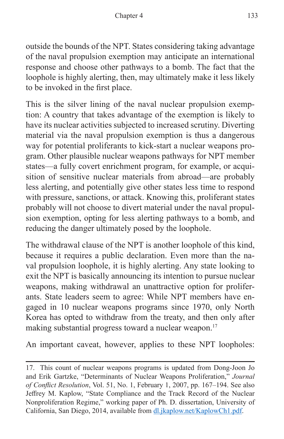outside the bounds of the NPT. States considering taking advantage of the naval propulsion exemption may anticipate an international response and choose other pathways to a bomb. The fact that the loophole is highly alerting, then, may ultimately make it less likely to be invoked in the first place.

This is the silver lining of the naval nuclear propulsion exemption: A country that takes advantage of the exemption is likely to have its nuclear activities subjected to increased scrutiny. Diverting material via the naval propulsion exemption is thus a dangerous way for potential proliferants to kick-start a nuclear weapons program. Other plausible nuclear weapons pathways for NPT member states—a fully covert enrichment program, for example, or acquisition of sensitive nuclear materials from abroad—are probably less alerting, and potentially give other states less time to respond with pressure, sanctions, or attack. Knowing this, proliferant states probably will not choose to divert material under the naval propulsion exemption, opting for less alerting pathways to a bomb, and reducing the danger ultimately posed by the loophole.

The withdrawal clause of the NPT is another loophole of this kind, because it requires a public declaration. Even more than the naval propulsion loophole, it is highly alerting. Any state looking to exit the NPT is basically announcing its intention to pursue nuclear weapons, making withdrawal an unattractive option for proliferants. State leaders seem to agree: While NPT members have engaged in 10 nuclear weapons programs since 1970, only North Korea has opted to withdraw from the treaty, and then only after making substantial progress toward a nuclear weapon.<sup>17</sup>

An important caveat, however, applies to these NPT loopholes:

<sup>17.</sup> This count of nuclear weapons programs is updated from Dong-Joon Jo and Erik Gartzke, "Determinants of Nuclear Weapons Proliferation," *Journal of Conflict Resolution*, Vol. 51, No. 1, February 1, 2007, pp. 167–194. See also Jeffrey M. Kaplow, "State Compliance and the Track Record of the Nuclear Nonproliferation Regime," working paper of Ph. D. dissertation, University of California, San Diego, 2014, available from [dl.jkaplow.net/KaplowCh1.pdf.](dl.jkaplow.net/KaplowCh1.pdf)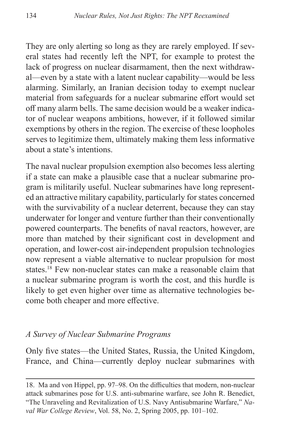They are only alerting so long as they are rarely employed. If several states had recently left the NPT, for example to protest the lack of progress on nuclear disarmament, then the next withdrawal—even by a state with a latent nuclear capability—would be less alarming. Similarly, an Iranian decision today to exempt nuclear material from safeguards for a nuclear submarine effort would set off many alarm bells. The same decision would be a weaker indicator of nuclear weapons ambitions, however, if it followed similar exemptions by others in the region. The exercise of these loopholes serves to legitimize them, ultimately making them less informative about a state's intentions.

The naval nuclear propulsion exemption also becomes less alerting if a state can make a plausible case that a nuclear submarine program is militarily useful. Nuclear submarines have long represented an attractive military capability, particularly for states concerned with the survivability of a nuclear deterrent, because they can stay underwater for longer and venture further than their conventionally powered counterparts. The benefits of naval reactors, however, are more than matched by their significant cost in development and operation, and lower-cost air-independent propulsion technologies now represent a viable alternative to nuclear propulsion for most states.<sup>18</sup> Few non-nuclear states can make a reasonable claim that a nuclear submarine program is worth the cost, and this hurdle is likely to get even higher over time as alternative technologies become both cheaper and more effective.

#### *A Survey of Nuclear Submarine Programs*

Only five states—the United States, Russia, the United Kingdom, France, and China—currently deploy nuclear submarines with

<sup>18.</sup> Ma and von Hippel, pp. 97–98. On the difficulties that modern, non-nuclear attack submarines pose for U.S. anti-submarine warfare, see John R. Benedict, "The Unraveling and Revitalization of U.S. Navy Antisubmarine Warfare," *Naval War College Review*, Vol. 58, No. 2, Spring 2005, pp. 101–102.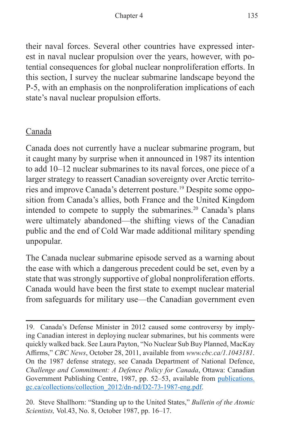their naval forces. Several other countries have expressed interest in naval nuclear propulsion over the years, however, with potential consequences for global nuclear nonproliferation efforts. In this section, I survey the nuclear submarine landscape beyond the P-5, with an emphasis on the nonproliferation implications of each state's naval nuclear propulsion efforts.

### Canada

Canada does not currently have a nuclear submarine program, but it caught many by surprise when it announced in 1987 its intention to add 10–12 nuclear submarines to its naval forces, one piece of a larger strategy to reassert Canadian sovereignty over Arctic territories and improve Canada's deterrent posture.19 Despite some opposition from Canada's allies, both France and the United Kingdom intended to compete to supply the submarines.<sup>20</sup> Canada's plans were ultimately abandoned—the shifting views of the Canadian public and the end of Cold War made additional military spending unpopular.

The Canada nuclear submarine episode served as a warning about the ease with which a dangerous precedent could be set, even by a state that was strongly supportive of global nonproliferation efforts. Canada would have been the first state to exempt nuclear material from safeguards for military use—the Canadian government even

20. Steve Shallhorn: "Standing up to the United States," *Bulletin of the Atomic Scientists,* Vol.43, No. 8, October 1987, pp. 16–17.

<sup>19.</sup> Canada's Defense Minister in 2012 caused some controversy by implying Canadian interest in deploying nuclear submarines, but his comments were quickly walked back. See Laura Payton, "No Nuclear Sub Buy Planned, MacKay Affirms," *CBC News*, October 28, 2011, available from *www.cbc.ca/1.1043181*. On the 1987 defense strategy, see Canada Department of National Defence, *Challenge and Commitment: A Defence Policy for Canada*, Ottawa: Canadian Government Publishing Centre, 1987, pp. 52–53, available from [publications.](publications.gc.ca/collections/collection_2012/dn-nd/D2-73-1987-eng.pdf) [gc.ca/collections/collection\\_2012/dn-nd/D2-73-1987-eng.pdf](publications.gc.ca/collections/collection_2012/dn-nd/D2-73-1987-eng.pdf).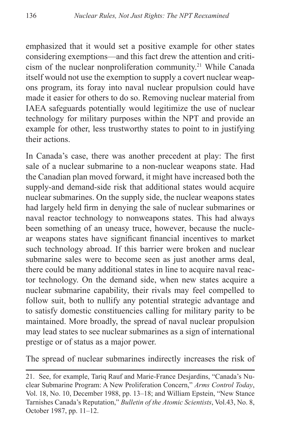emphasized that it would set a positive example for other states considering exemptions—and this fact drew the attention and criticism of the nuclear nonproliferation community.21 While Canada itself would not use the exemption to supply a covert nuclear weapons program, its foray into naval nuclear propulsion could have made it easier for others to do so. Removing nuclear material from IAEA safeguards potentially would legitimize the use of nuclear technology for military purposes within the NPT and provide an example for other, less trustworthy states to point to in justifying their actions.

In Canada's case, there was another precedent at play: The first sale of a nuclear submarine to a non-nuclear weapons state. Had the Canadian plan moved forward, it might have increased both the supply-and demand-side risk that additional states would acquire nuclear submarines. On the supply side, the nuclear weapons states had largely held firm in denying the sale of nuclear submarines or naval reactor technology to nonweapons states. This had always been something of an uneasy truce, however, because the nuclear weapons states have significant financial incentives to market such technology abroad. If this barrier were broken and nuclear submarine sales were to become seen as just another arms deal, there could be many additional states in line to acquire naval reactor technology. On the demand side, when new states acquire a nuclear submarine capability, their rivals may feel compelled to follow suit, both to nullify any potential strategic advantage and to satisfy domestic constituencies calling for military parity to be maintained. More broadly, the spread of naval nuclear propulsion may lead states to see nuclear submarines as a sign of international prestige or of status as a major power.

The spread of nuclear submarines indirectly increases the risk of

<sup>21.</sup> See, for example, Tariq Rauf and Marie-France Desjardins, "Canada's Nuclear Submarine Program: A New Proliferation Concern," *Arms Control Today*, Vol. 18, No. 10, December 1988, pp. 13–18; and William Epstein, "New Stance Tarnishes Canada's Reputation," *Bulletin of the Atomic Scientists*, Vol.43, No. 8, October 1987, pp. 11–12.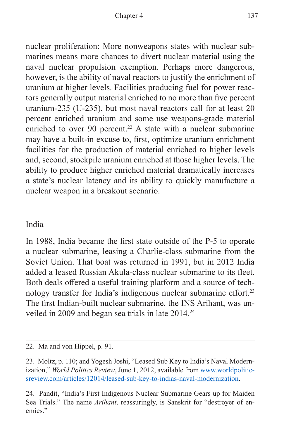nuclear proliferation: More nonweapons states with nuclear submarines means more chances to divert nuclear material using the naval nuclear propulsion exemption. Perhaps more dangerous, however, is the ability of naval reactors to justify the enrichment of uranium at higher levels. Facilities producing fuel for power reactors generally output material enriched to no more than five percent uranium-235 (U-235), but most naval reactors call for at least 20 percent enriched uranium and some use weapons-grade material enriched to over 90 percent.<sup>22</sup> A state with a nuclear submarine may have a built-in excuse to, first, optimize uranium enrichment facilities for the production of material enriched to higher levels and, second, stockpile uranium enriched at those higher levels. The ability to produce higher enriched material dramatically increases a state's nuclear latency and its ability to quickly manufacture a nuclear weapon in a breakout scenario.

#### India

In 1988, India became the first state outside of the P-5 to operate a nuclear submarine, leasing a Charlie-class submarine from the Soviet Union. That boat was returned in 1991, but in 2012 India added a leased Russian Akula-class nuclear submarine to its fleet. Both deals offered a useful training platform and a source of technology transfer for India's indigenous nuclear submarine effort.<sup>23</sup> The first Indian-built nuclear submarine, the INS Arihant, was unveiled in 2009 and began sea trials in late 2014.<sup>24</sup>

<sup>22.</sup> Ma and von Hippel, p. 91.

<sup>23.</sup> Moltz, p. 110; and Yogesh Joshi, "Leased Sub Key to India's Naval Modernization," *World Politics Review*, June 1, 2012, available from [www.worldpolitic](www.worldpoliticsreview.com/articles/12014/leased-sub-key-to-indias-naval-modernization)[sreview.com/articles/12014/leased-sub-key-to-indias-naval-modernization.](www.worldpoliticsreview.com/articles/12014/leased-sub-key-to-indias-naval-modernization)

<sup>24.</sup> Pandit, "India's First Indigenous Nuclear Submarine Gears up for Maiden Sea Trials." The name *Arihant*, reassuringly, is Sanskrit for "destroyer of enemies."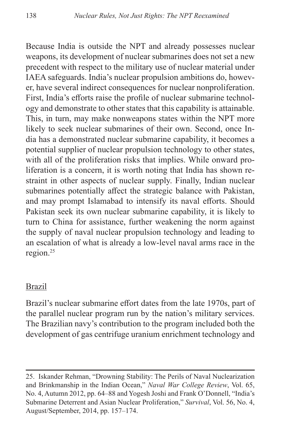Because India is outside the NPT and already possesses nuclear weapons, its development of nuclear submarines does not set a new precedent with respect to the military use of nuclear material under IAEA safeguards. India's nuclear propulsion ambitions do, however, have several indirect consequences for nuclear nonproliferation. First, India's efforts raise the profile of nuclear submarine technology and demonstrate to other states that this capability is attainable. This, in turn, may make nonweapons states within the NPT more likely to seek nuclear submarines of their own. Second, once India has a demonstrated nuclear submarine capability, it becomes a potential supplier of nuclear propulsion technology to other states, with all of the proliferation risks that implies. While onward proliferation is a concern, it is worth noting that India has shown restraint in other aspects of nuclear supply. Finally, Indian nuclear submarines potentially affect the strategic balance with Pakistan, and may prompt Islamabad to intensify its naval efforts. Should Pakistan seek its own nuclear submarine capability, it is likely to turn to China for assistance, further weakening the norm against the supply of naval nuclear propulsion technology and leading to an escalation of what is already a low-level naval arms race in the region.25

#### Brazil

Brazil's nuclear submarine effort dates from the late 1970s, part of the parallel nuclear program run by the nation's military services. The Brazilian navy's contribution to the program included both the development of gas centrifuge uranium enrichment technology and

<sup>25.</sup> Iskander Rehman, "Drowning Stability: The Perils of Naval Nuclearization and Brinkmanship in the Indian Ocean," *Naval War College Review*, Vol. 65, No. 4, Autumn 2012, pp. 64–88 and Yogesh Joshi and Frank O'Donnell, "India's Submarine Deterrent and Asian Nuclear Proliferation," *Survival*, Vol. 56, No. 4, August/September, 2014, pp. 157–174.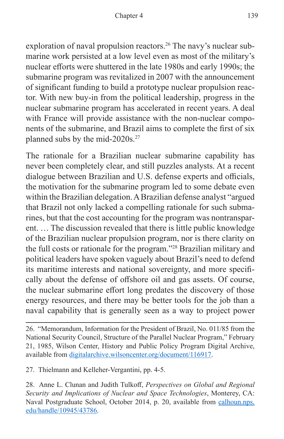exploration of naval propulsion reactors.<sup>26</sup> The navy's nuclear submarine work persisted at a low level even as most of the military's nuclear efforts were shuttered in the late 1980s and early 1990s; the submarine program was revitalized in 2007 with the announcement of significant funding to build a prototype nuclear propulsion reactor. With new buy-in from the political leadership, progress in the nuclear submarine program has accelerated in recent years. A deal with France will provide assistance with the non-nuclear components of the submarine, and Brazil aims to complete the first of six planned subs by the mid-2020s.<sup>27</sup>

The rationale for a Brazilian nuclear submarine capability has never been completely clear, and still puzzles analysts. At a recent dialogue between Brazilian and U.S. defense experts and officials, the motivation for the submarine program led to some debate even within the Brazilian delegation. A Brazilian defense analyst "argued that Brazil not only lacked a compelling rationale for such submarines, but that the cost accounting for the program was nontransparent. … The discussion revealed that there is little public knowledge of the Brazilian nuclear propulsion program, nor is there clarity on the full costs or rationale for the program."28 Brazilian military and political leaders have spoken vaguely about Brazil's need to defend its maritime interests and national sovereignty, and more specifically about the defense of offshore oil and gas assets. Of course, the nuclear submarine effort long predates the discovery of those energy resources, and there may be better tools for the job than a naval capability that is generally seen as a way to project power

27. Thielmann and Kelleher-Vergantini, pp. 4-5.

28. Anne L. Clunan and Judith Tulkoff, *Perspectives on Global and Regional Security and Implications of Nuclear and Space Technologies*, Monterey, CA: Naval Postgraduate School, October 2014, p. 20, available from [calhoun.nps.](calhoun.nps.edu/handle/10945/43786) [edu/handle/10945/43786](calhoun.nps.edu/handle/10945/43786)*.*

<sup>26. &</sup>quot;Memorandum, Information for the President of Brazil, No. 011/85 from the National Security Council, Structure of the Parallel Nuclear Program," February 21, 1985, Wilson Center, History and Public Policy Program Digital Archive, available from [digitalarchive.wilsoncenter.org/document/116917.](digitalarchive.wilsoncenter.org/document/116917)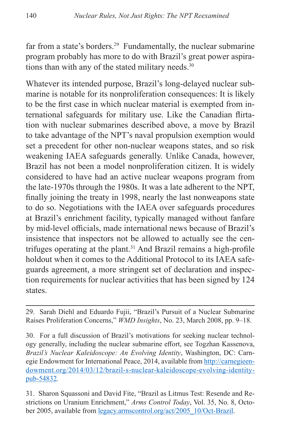far from a state's borders.<sup>29</sup> Fundamentally, the nuclear submarine program probably has more to do with Brazil's great power aspirations than with any of the stated military needs. $30$ 

Whatever its intended purpose, Brazil's long-delayed nuclear submarine is notable for its nonproliferation consequences: It is likely to be the first case in which nuclear material is exempted from international safeguards for military use. Like the Canadian flirtation with nuclear submarines described above, a move by Brazil to take advantage of the NPT's naval propulsion exemption would set a precedent for other non-nuclear weapons states, and so risk weakening IAEA safeguards generally. Unlike Canada, however, Brazil has not been a model nonproliferation citizen. It is widely considered to have had an active nuclear weapons program from the late-1970s through the 1980s. It was a late adherent to the NPT, finally joining the treaty in 1998, nearly the last nonweapons state to do so. Negotiations with the IAEA over safeguards procedures at Brazil's enrichment facility, typically managed without fanfare by mid-level officials, made international news because of Brazil's insistence that inspectors not be allowed to actually see the centrifuges operating at the plant.<sup>31</sup> And Brazil remains a high-profile holdout when it comes to the Additional Protocol to its IAEA safeguards agreement, a more stringent set of declaration and inspection requirements for nuclear activities that has been signed by 124 states.

29. Sarah Diehl and Eduardo Fujii, "Brazil's Pursuit of a Nuclear Submarine Raises Proliferation Concerns," *WMD Insights*, No. 23, March 2008, pp. 9–18.

30. For a full discussion of Brazil's motivations for seeking nuclear technology generally, including the nuclear submarine effort, see Togzhan Kassenova, *Brazil's Nuclear Kaleidoscope: An Evolving Identity*, Washington, DC: Carnegie Endowment for International Peace, 2014, available from [http://carnegieen](http://carnegieendowment.org/2014/03/12/brazil-s-nuclear-kaleidoscope-evolving-identity-pub-54832)[dowment.org/2014/03/12/brazil-s-nuclear-kaleidoscope-evolving-identity](http://carnegieendowment.org/2014/03/12/brazil-s-nuclear-kaleidoscope-evolving-identity-pub-54832)[pub-54832](http://carnegieendowment.org/2014/03/12/brazil-s-nuclear-kaleidoscope-evolving-identity-pub-54832)*.*

31. Sharon Squassoni and David Fite, "Brazil as Litmus Test: Resende and Restrictions on Uranium Enrichment," *Arms Control Today*, Vol. 35, No. 8, October 2005, available from [legacy.armscontrol.org/act/2005\\_10/Oct-Brazil](legacy.armscontrol.org/act/2005_10/Oct-Brazil).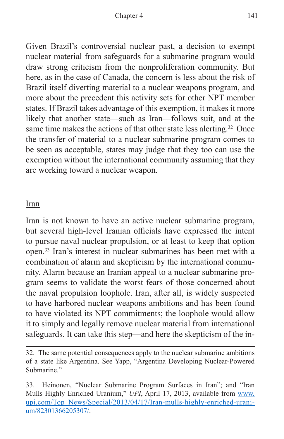Given Brazil's controversial nuclear past, a decision to exempt nuclear material from safeguards for a submarine program would draw strong criticism from the nonproliferation community. But here, as in the case of Canada, the concern is less about the risk of Brazil itself diverting material to a nuclear weapons program, and more about the precedent this activity sets for other NPT member states. If Brazil takes advantage of this exemption, it makes it more likely that another state—such as Iran—follows suit, and at the same time makes the actions of that other state less alerting.<sup>32</sup> Once the transfer of material to a nuclear submarine program comes to be seen as acceptable, states may judge that they too can use the exemption without the international community assuming that they are working toward a nuclear weapon.

#### Iran

Iran is not known to have an active nuclear submarine program, but several high-level Iranian officials have expressed the intent to pursue naval nuclear propulsion, or at least to keep that option open.33 Iran's interest in nuclear submarines has been met with a combination of alarm and skepticism by the international community. Alarm because an Iranian appeal to a nuclear submarine program seems to validate the worst fears of those concerned about the naval propulsion loophole. Iran, after all, is widely suspected to have harbored nuclear weapons ambitions and has been found to have violated its NPT commitments; the loophole would allow it to simply and legally remove nuclear material from international safeguards. It can take this step—and here the skepticism of the in-

<sup>32.</sup> The same potential consequences apply to the nuclear submarine ambitions of a state like Argentina. See Yapp, "Argentina Developing Nuclear-Powered Submarine."

<sup>33.</sup> Heinonen, "Nuclear Submarine Program Surfaces in Iran"; and "Iran Mulls Highly Enriched Uranium," *UPI*, April 17, 2013, available from [www.](www.upi.com/Top_News/Special/2013/04/17/Iran-mulls-highly-enriched-uranium/82301366205307/) [upi.com/Top\\_News/Special/2013/04/17/Iran-mulls-highly-enriched-urani](www.upi.com/Top_News/Special/2013/04/17/Iran-mulls-highly-enriched-uranium/82301366205307/)[um/82301366205307/](www.upi.com/Top_News/Special/2013/04/17/Iran-mulls-highly-enriched-uranium/82301366205307/).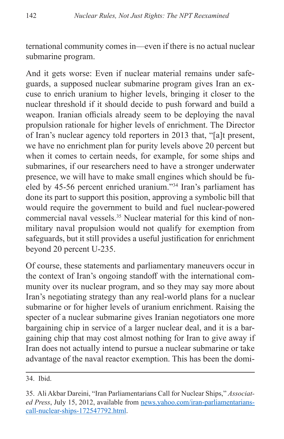ternational community comes in—even if there is no actual nuclear submarine program.

And it gets worse: Even if nuclear material remains under safeguards, a supposed nuclear submarine program gives Iran an excuse to enrich uranium to higher levels, bringing it closer to the nuclear threshold if it should decide to push forward and build a weapon. Iranian officials already seem to be deploying the naval propulsion rationale for higher levels of enrichment. The Director of Iran's nuclear agency told reporters in 2013 that, "[a]t present, we have no enrichment plan for purity levels above 20 percent but when it comes to certain needs, for example, for some ships and submarines, if our researchers need to have a stronger underwater presence, we will have to make small engines which should be fueled by 45-56 percent enriched uranium."34 Iran's parliament has done its part to support this position, approving a symbolic bill that would require the government to build and fuel nuclear-powered commercial naval vessels.<sup>35</sup> Nuclear material for this kind of nonmilitary naval propulsion would not qualify for exemption from safeguards, but it still provides a useful justification for enrichment beyond 20 percent U-235.

Of course, these statements and parliamentary maneuvers occur in the context of Iran's ongoing standoff with the international community over its nuclear program, and so they may say more about Iran's negotiating strategy than any real-world plans for a nuclear submarine or for higher levels of uranium enrichment. Raising the specter of a nuclear submarine gives Iranian negotiators one more bargaining chip in service of a larger nuclear deal, and it is a bargaining chip that may cost almost nothing for Iran to give away if Iran does not actually intend to pursue a nuclear submarine or take advantage of the naval reactor exemption. This has been the domi-

<sup>34.</sup> Ibid.

<sup>35.</sup> Ali Akbar Dareini, "Iran Parliamentarians Call for Nuclear Ships," *Associated Press*, July 15, 2012, available from [news.yahoo.com/iran-parliamentarians](news.yahoo.com/iran-parliamentarians-call-nuclear-ships-172547792.html)[call-nuclear-ships-172547792.html](news.yahoo.com/iran-parliamentarians-call-nuclear-ships-172547792.html).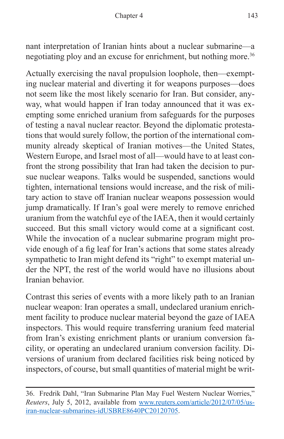nant interpretation of Iranian hints about a nuclear submarine—a negotiating ploy and an excuse for enrichment, but nothing more.<sup>36</sup>

Actually exercising the naval propulsion loophole, then—exempting nuclear material and diverting it for weapons purposes—does not seem like the most likely scenario for Iran. But consider, anyway, what would happen if Iran today announced that it was exempting some enriched uranium from safeguards for the purposes of testing a naval nuclear reactor. Beyond the diplomatic protestations that would surely follow, the portion of the international community already skeptical of Iranian motives—the United States, Western Europe, and Israel most of all—would have to at least confront the strong possibility that Iran had taken the decision to pursue nuclear weapons. Talks would be suspended, sanctions would tighten, international tensions would increase, and the risk of military action to stave off Iranian nuclear weapons possession would jump dramatically. If Iran's goal were merely to remove enriched uranium from the watchful eye of the IAEA, then it would certainly succeed. But this small victory would come at a significant cost. While the invocation of a nuclear submarine program might provide enough of a fig leaf for Iran's actions that some states already sympathetic to Iran might defend its "right" to exempt material under the NPT, the rest of the world would have no illusions about Iranian behavior.

Contrast this series of events with a more likely path to an Iranian nuclear weapon: Iran operates a small, undeclared uranium enrichment facility to produce nuclear material beyond the gaze of IAEA inspectors. This would require transferring uranium feed material from Iran's existing enrichment plants or uranium conversion facility, or operating an undeclared uranium conversion facility. Diversions of uranium from declared facilities risk being noticed by inspectors, of course, but small quantities of material might be writ-

<sup>36.</sup> Fredrik Dahl, "Iran Submarine Plan May Fuel Western Nuclear Worries," *Reuters*, July 5, 2012, available from [www.reuters.com/article/2012/07/05/us](www.reuters.com/article/2012/07/05/us-iran-nuclear-submarines-idUSBRE8640PC20120705)[iran-nuclear-submarines-idUSBRE8640PC20120705.](www.reuters.com/article/2012/07/05/us-iran-nuclear-submarines-idUSBRE8640PC20120705)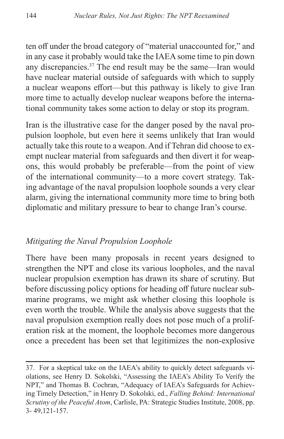ten off under the broad category of "material unaccounted for," and in any case it probably would take the IAEA some time to pin down any discrepancies.37 The end result may be the same—Iran would have nuclear material outside of safeguards with which to supply a nuclear weapons effort—but this pathway is likely to give Iran more time to actually develop nuclear weapons before the international community takes some action to delay or stop its program.

Iran is the illustrative case for the danger posed by the naval propulsion loophole, but even here it seems unlikely that Iran would actually take this route to a weapon. And if Tehran did choose to exempt nuclear material from safeguards and then divert it for weapons, this would probably be preferable—from the point of view of the international community—to a more covert strategy. Taking advantage of the naval propulsion loophole sounds a very clear alarm, giving the international community more time to bring both diplomatic and military pressure to bear to change Iran's course.

#### *Mitigating the Naval Propulsion Loophole*

There have been many proposals in recent years designed to strengthen the NPT and close its various loopholes, and the naval nuclear propulsion exemption has drawn its share of scrutiny. But before discussing policy options for heading off future nuclear submarine programs, we might ask whether closing this loophole is even worth the trouble. While the analysis above suggests that the naval propulsion exemption really does not pose much of a proliferation risk at the moment, the loophole becomes more dangerous once a precedent has been set that legitimizes the non-explosive

<sup>37.</sup> For a skeptical take on the IAEA's ability to quickly detect safeguards violations, see Henry D. Sokolski, "Assessing the IAEA's Ability To Verify the NPT," and Thomas B. Cochran, "Adequacy of IAEA's Safeguards for Achieving Timely Detection," in Henry D. Sokolski, ed., *Falling Behind: International Scrutiny of the Peaceful Atom*, Carlisle, PA: Strategic Studies Institute, 2008, pp. 3- 49,121-157.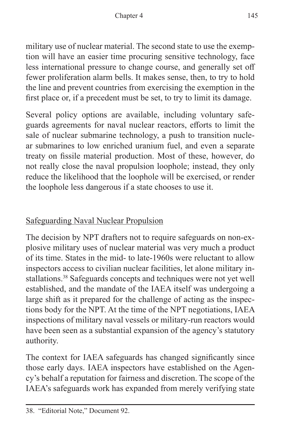military use of nuclear material. The second state to use the exemption will have an easier time procuring sensitive technology, face less international pressure to change course, and generally set off fewer proliferation alarm bells. It makes sense, then, to try to hold the line and prevent countries from exercising the exemption in the first place or, if a precedent must be set, to try to limit its damage.

Several policy options are available, including voluntary safeguards agreements for naval nuclear reactors, efforts to limit the sale of nuclear submarine technology, a push to transition nuclear submarines to low enriched uranium fuel, and even a separate treaty on fissile material production. Most of these, however, do not really close the naval propulsion loophole; instead, they only reduce the likelihood that the loophole will be exercised, or render the loophole less dangerous if a state chooses to use it.

## Safeguarding Naval Nuclear Propulsion

The decision by NPT drafters not to require safeguards on non-explosive military uses of nuclear material was very much a product of its time. States in the mid- to late-1960s were reluctant to allow inspectors access to civilian nuclear facilities, let alone military installations.<sup>38</sup> Safeguards concepts and techniques were not yet well established, and the mandate of the IAEA itself was undergoing a large shift as it prepared for the challenge of acting as the inspections body for the NPT. At the time of the NPT negotiations, IAEA inspections of military naval vessels or military-run reactors would have been seen as a substantial expansion of the agency's statutory authority.

The context for IAEA safeguards has changed significantly since those early days. IAEA inspectors have established on the Agency's behalf a reputation for fairness and discretion. The scope of the IAEA's safeguards work has expanded from merely verifying state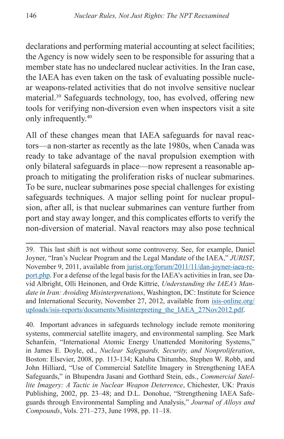declarations and performing material accounting at select facilities; the Agency is now widely seen to be responsible for assuring that a member state has no undeclared nuclear activities. In the Iran case, the IAEA has even taken on the task of evaluating possible nuclear weapons-related activities that do not involve sensitive nuclear material.39 Safeguards technology, too, has evolved, offering new tools for verifying non-diversion even when inspectors visit a site only infrequently.40

All of these changes mean that IAEA safeguards for naval reactors—a non-starter as recently as the late 1980s, when Canada was ready to take advantage of the naval propulsion exemption with only bilateral safeguards in place—now represent a reasonable approach to mitigating the proliferation risks of nuclear submarines. To be sure, nuclear submarines pose special challenges for existing safeguards techniques. A major selling point for nuclear propulsion, after all, is that nuclear submarines can venture further from port and stay away longer, and this complicates efforts to verify the non-diversion of material. Naval reactors may also pose technical

40. Important advances in safeguards technology include remote monitoring systems, commercial satellite imagery, and environmental sampling. See Mark Schanfein, "International Atomic Energy Unattended Monitoring Systems," in James E. Doyle, ed., *Nuclear Safeguards, Security, and Nonproliferation*, Boston: Elsevier, 2008, pp. 113-134; Kaluba Chitumbo, Stephen W. Robb, and John Hilliard, "Use of Commercial Satellite Imagery in Strengthening IAEA Safeguards," in Bhupendra Jasani and Gotthard Stein, eds., *Commercial Satellite Imagery: A Tactic in Nuclear Weapon Deterrence*, Chichester, UK: Praxis Publishing, 2002, pp. 23–48; and D.L. Donohue, "Strengthening IAEA Safeguards through Environmental Sampling and Analysis," *Journal of Alloys and Compounds*, Vols. 271–273, June 1998, pp. 11–18.

<sup>39.</sup> This last shift is not without some controversy. See, for example, Daniel Joyner, "Iran's Nuclear Program and the Legal Mandate of the IAEA," *JURIST*, November 9, 2011, available from [jurist.org/forum/2011/11/dan-joyner-iaea-re](http://www.informationclearinghouse.info/article29716.htm)[port.php.](http://www.informationclearinghouse.info/article29716.htm) For a defense of the legal basis for the IAEA's activities in Iran, see David Albright, Olli Heinonen, and Orde Kittrie, *Understanding the IAEA's Mandate in Iran: Avoiding Misinterpretations*, Washington, DC: Institute for Science and International Security, November 27, 2012, available from [isis-online.org/](http://isis-online.org/uploads/isis-reports/documents/Misinterpreting_the_IAEA_27Nov2012.pdf) uploads/isis-reports/documents/Misinterpreting the IAEA 27Nov2012.pdf.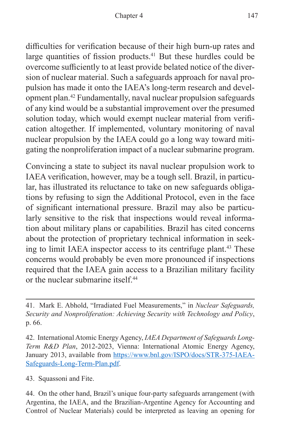difficulties for verification because of their high burn-up rates and large quantities of fission products.<sup>41</sup> But these hurdles could be overcome sufficiently to at least provide belated notice of the diversion of nuclear material. Such a safeguards approach for naval propulsion has made it onto the IAEA's long-term research and development plan.42 Fundamentally, naval nuclear propulsion safeguards of any kind would be a substantial improvement over the presumed solution today, which would exempt nuclear material from verification altogether. If implemented, voluntary monitoring of naval nuclear propulsion by the IAEA could go a long way toward mitigating the nonproliferation impact of a nuclear submarine program.

Convincing a state to subject its naval nuclear propulsion work to IAEA verification, however, may be a tough sell. Brazil, in particular, has illustrated its reluctance to take on new safeguards obligations by refusing to sign the Additional Protocol, even in the face of significant international pressure. Brazil may also be particularly sensitive to the risk that inspections would reveal information about military plans or capabilities. Brazil has cited concerns about the protection of proprietary technical information in seeking to limit IAEA inspector access to its centrifuge plant.<sup>43</sup> These concerns would probably be even more pronounced if inspections required that the IAEA gain access to a Brazilian military facility or the nuclear submarine itself.44

43. Squassoni and Fite.

44. On the other hand, Brazil's unique four-party safeguards arrangement (with Argentina, the IAEA, and the Brazilian-Argentine Agency for Accounting and Control of Nuclear Materials) could be interpreted as leaving an opening for

<sup>41.</sup> Mark E. Abhold, "Irradiated Fuel Measurements," in *Nuclear Safeguards, Security and Nonproliferation: Achieving Security with Technology and Policy*, p. 66.

<sup>42.</sup> International Atomic Energy Agency, *IAEA Department of Safeguards Long-Term R&D Plan*, 2012-2023, Vienna: International Atomic Energy Agency, January 2013, available from [https://www.bnl.gov/ISPO/docs/STR-375-IAEA-](https://www.bnl.gov/ISPO/docs/STR-375-IAEA-Safeguards-Long-Term-Plan.pdf)[Safeguards-Long-Term-Plan.pdf](https://www.bnl.gov/ISPO/docs/STR-375-IAEA-Safeguards-Long-Term-Plan.pdf).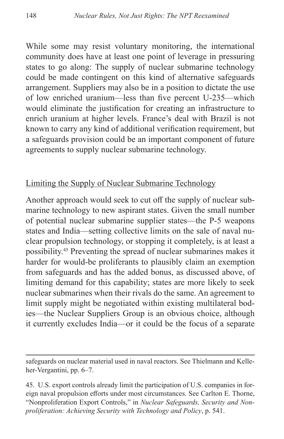While some may resist voluntary monitoring, the international community does have at least one point of leverage in pressuring states to go along: The supply of nuclear submarine technology could be made contingent on this kind of alternative safeguards arrangement. Suppliers may also be in a position to dictate the use of low enriched uranium—less than five percent U-235—which would eliminate the justification for creating an infrastructure to enrich uranium at higher levels. France's deal with Brazil is not known to carry any kind of additional verification requirement, but a safeguards provision could be an important component of future agreements to supply nuclear submarine technology.

#### Limiting the Supply of Nuclear Submarine Technology

Another approach would seek to cut off the supply of nuclear submarine technology to new aspirant states. Given the small number of potential nuclear submarine supplier states—the P-5 weapons states and India—setting collective limits on the sale of naval nuclear propulsion technology, or stopping it completely, is at least a possibility.45 Preventing the spread of nuclear submarines makes it harder for would-be proliferants to plausibly claim an exemption from safeguards and has the added bonus, as discussed above, of limiting demand for this capability; states are more likely to seek nuclear submarines when their rivals do the same. An agreement to limit supply might be negotiated within existing multilateral bodies—the Nuclear Suppliers Group is an obvious choice, although it currently excludes India—or it could be the focus of a separate

safeguards on nuclear material used in naval reactors. See Thielmann and Kelleher-Vergantini, pp. 6–7.

<sup>45.</sup> U.S. export controls already limit the participation of U.S. companies in foreign naval propulsion efforts under most circumstances. See Carlton E. Thorne, "Nonproliferation Export Controls," in *Nuclear Safeguards, Security and Nonproliferation: Achieving Security with Technology and Policy*, p. 541.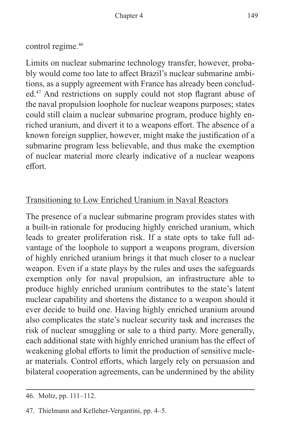control regime.<sup>46</sup>

Limits on nuclear submarine technology transfer, however, probably would come too late to affect Brazil's nuclear submarine ambitions, as a supply agreement with France has already been concluded.47 And restrictions on supply could not stop flagrant abuse of the naval propulsion loophole for nuclear weapons purposes; states could still claim a nuclear submarine program, produce highly enriched uranium, and divert it to a weapons effort. The absence of a known foreign supplier, however, might make the justification of a submarine program less believable, and thus make the exemption of nuclear material more clearly indicative of a nuclear weapons effort.

### Transitioning to Low Enriched Uranium in Naval Reactors

The presence of a nuclear submarine program provides states with a built-in rationale for producing highly enriched uranium, which leads to greater proliferation risk. If a state opts to take full advantage of the loophole to support a weapons program, diversion of highly enriched uranium brings it that much closer to a nuclear weapon. Even if a state plays by the rules and uses the safeguards exemption only for naval propulsion, an infrastructure able to produce highly enriched uranium contributes to the state's latent nuclear capability and shortens the distance to a weapon should it ever decide to build one. Having highly enriched uranium around also complicates the state's nuclear security task and increases the risk of nuclear smuggling or sale to a third party. More generally, each additional state with highly enriched uranium has the effect of weakening global efforts to limit the production of sensitive nuclear materials. Control efforts, which largely rely on persuasion and bilateral cooperation agreements, can be undermined by the ability

<sup>46.</sup> Moltz, pp. 111–112.

<sup>47.</sup> Thielmann and Kelleher-Vergantini, pp. 4–5.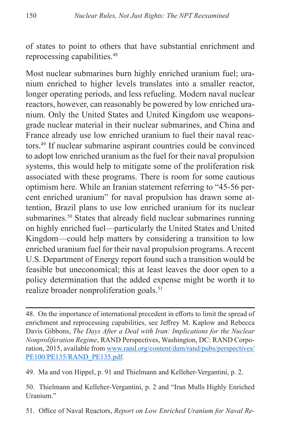of states to point to others that have substantial enrichment and reprocessing capabilities.48

Most nuclear submarines burn highly enriched uranium fuel; uranium enriched to higher levels translates into a smaller reactor, longer operating periods, and less refueling. Modern naval nuclear reactors, however, can reasonably be powered by low enriched uranium. Only the United States and United Kingdom use weaponsgrade nuclear material in their nuclear submarines, and China and France already use low enriched uranium to fuel their naval reactors.49 If nuclear submarine aspirant countries could be convinced to adopt low enriched uranium as the fuel for their naval propulsion systems, this would help to mitigate some of the proliferation risk associated with these programs. There is room for some cautious optimism here. While an Iranian statement referring to "45-56 percent enriched uranium" for naval propulsion has drawn some attention, Brazil plans to use low enriched uranium for its nuclear submarines.<sup>50</sup> States that already field nuclear submarines running on highly enriched fuel—particularly the United States and United Kingdom—could help matters by considering a transition to low enriched uranium fuel for their naval propulsion programs. A recent U.S. Department of Energy report found such a transition would be feasible but uneconomical; this at least leaves the door open to a policy determination that the added expense might be worth it to realize broader nonproliferation goals.<sup>51</sup>

49. Ma and von Hippel, p. 91 and Thielmann and Kelleher-Vergantini, p. 2.

50. Thielmann and Kelleher-Vergantini, p. 2 and "Iran Mulls Highly Enriched Uranium."

51. Office of Naval Reactors, *Report on Low Enriched Uranium for Naval Re-*

<sup>48.</sup> On the importance of international precedent in efforts to limit the spread of enrichment and reprocessing capabilities, see Jeffrey M. Kaplow and Rebecca Davis Gibbons, *The Days After a Deal with Iran: Implications for the Nuclear Nonproliferation Regime*, RAND Perspectives, Washington, DC: RAND Corporation, 2015, available from [www.rand.org/content/dam/rand/pubs/perspectives/](www.rand.org/content/dam/rand/pubs/perspectives/PE100/PE135/RAND_PE135.pdf) [PE100/PE135/RAND\\_PE135.pdf](www.rand.org/content/dam/rand/pubs/perspectives/PE100/PE135/RAND_PE135.pdf)*.*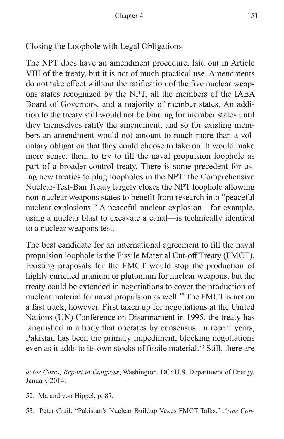#### Closing the Loophole with Legal Obligations

The NPT does have an amendment procedure, laid out in Article VIII of the treaty, but it is not of much practical use. Amendments do not take effect without the ratification of the five nuclear weapons states recognized by the NPT, all the members of the IAEA Board of Governors, and a majority of member states. An addition to the treaty still would not be binding for member states until they themselves ratify the amendment, and so for existing members an amendment would not amount to much more than a voluntary obligation that they could choose to take on. It would make more sense, then, to try to fill the naval propulsion loophole as part of a broader control treaty. There is some precedent for using new treaties to plug loopholes in the NPT: the Comprehensive Nuclear-Test-Ban Treaty largely closes the NPT loophole allowing non-nuclear weapons states to benefit from research into "peaceful nuclear explosions." A peaceful nuclear explosion—for example, using a nuclear blast to excavate a canal—is technically identical to a nuclear weapons test.

The best candidate for an international agreement to fill the naval propulsion loophole is the Fissile Material Cut-off Treaty (FMCT). Existing proposals for the FMCT would stop the production of highly enriched uranium or plutonium for nuclear weapons, but the treaty could be extended in negotiations to cover the production of nuclear material for naval propulsion as well.<sup>52</sup> The FMCT is not on a fast track, however. First taken up for negotiations at the United Nations (UN) Conference on Disarmament in 1995, the treaty has languished in a body that operates by consensus. In recent years, Pakistan has been the primary impediment, blocking negotiations even as it adds to its own stocks of fissile material.53 Still, there are

*actor Cores, Report to Congress*, Washington, DC: U.S. Department of Energy, January 2014.

- 52. Ma and von Hippel, p. 87.
- 53. Peter Crail, "Pakistan's Nuclear Buildup Vexes FMCT Talks," *Arms Con-*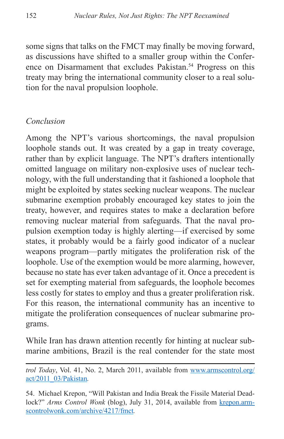some signs that talks on the FMCT may finally be moving forward, as discussions have shifted to a smaller group within the Conference on Disarmament that excludes Pakistan.<sup>54</sup> Progress on this treaty may bring the international community closer to a real solution for the naval propulsion loophole.

#### *Conclusion*

Among the NPT's various shortcomings, the naval propulsion loophole stands out. It was created by a gap in treaty coverage, rather than by explicit language. The NPT's drafters intentionally omitted language on military non-explosive uses of nuclear technology, with the full understanding that it fashioned a loophole that might be exploited by states seeking nuclear weapons. The nuclear submarine exemption probably encouraged key states to join the treaty, however, and requires states to make a declaration before removing nuclear material from safeguards. That the naval propulsion exemption today is highly alerting—if exercised by some states, it probably would be a fairly good indicator of a nuclear weapons program—partly mitigates the proliferation risk of the loophole. Use of the exemption would be more alarming, however, because no state has ever taken advantage of it. Once a precedent is set for exempting material from safeguards, the loophole becomes less costly for states to employ and thus a greater proliferation risk. For this reason, the international community has an incentive to mitigate the proliferation consequences of nuclear submarine programs.

While Iran has drawn attention recently for hinting at nuclear submarine ambitions, Brazil is the real contender for the state most

*trol Today*, Vol. 41, No. 2, March 2011, available from [www.armscontrol.org/](www.armscontrol.org/act/2011_03/Pakistan) [act/2011\\_03/Pakistan](www.armscontrol.org/act/2011_03/Pakistan)*.*

<sup>54.</sup> Michael Krepon, "Will Pakistan and India Break the Fissile Material Deadlock?" Arms Control Wonk (blog), July 31, 2014, available from [krepon.arm](krepon.armscontrolwonk.com/archive/4217/fmct)[scontrolwonk.com/archive/4217/fmct](krepon.armscontrolwonk.com/archive/4217/fmct)*.*